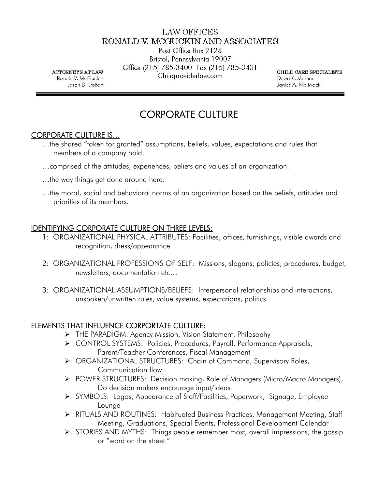# **LAW OFFICES** RONALD V. MCGUCKIN AND ASSOCIATES

Post Office Box 2126 Bristol, Pennsylvania 19007 Office (215) 785-3400 Fax (215) 785-3401 Childproviderlaw.com

CHILD CARE SPECIALISTS Dawn K. Martini Janice A. Nieliwocki

# CORPORATE CULTURE

#### CORPORATE CULTURE IS…

- …the shared "taken for granted" assumptions, beliefs, values, expectations and rules that members of a company hold.
- …comprised of the attitudes, experiences, beliefs and values of an organization.
- …the way things get done around here.
- …the moral, social and behavioral norms of an organization based on the beliefs, attitudes and priorities of its members.

### IDENTIFYING CORPORATE CULTURE ON THREE LEVELS:

- 1: ORGANIZATIONAL PHYSICAL ATTRIBUTES: Facilities, offices, furnishings, visible awards and recognition, dress/appearance
- 2: ORGANIZATIONAL PROFESSIONS OF SELF: Missions, slogans, policies, procedures, budget, newsletters, documentation etc…
- 3: ORGANIZATIONAL ASSUMPTIONS/BELIEFS: Interpersonal relationships and interactions, unspoken/unwritten rules, value systems, expectations, politics

#### ELEMENTS THAT INFLUENCE CORPORTATE CULTURE:

- ¾ THE PARADIGM: Agency Mission, Vision Statement, Philosophy
- ¾ CONTROL SYSTEMS: Policies, Procedures, Payroll, Performance Appraisals, Parent/Teacher Conferences, Fiscal Management
- ¾ ORGANIZATIONAL STRUCTURES: Chain of Command, Supervisory Roles, Communication flow
- ¾ POWER STRUCTURES: Decision making, Role of Managers (Micro/Macro Managers), Do decision makers encourage input/ideas
- ¾ SYMBOLS: Logos, Appearance of Staff/Facilities, Paperwork, Signage, Employee Lounge
- ¾ RITUALS AND ROUTINES: Habituated Business Practices, Management Meeting, Staff Meeting, Graduations, Special Events, Professional Development Calendar
- ¾ STORIES AND MYTHS: Things people remember most, overall impressions, the gossip or "word on the street."

**ATTORNEYS AT LAW** Ronald V. McGuckin Jason D. Dalton